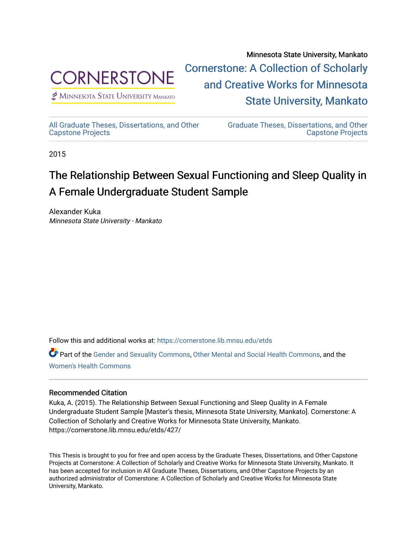

 $<sup>2</sup>$  Minnesota State University Mankato</sup>

Minnesota State University, Mankato [Cornerstone: A Collection of Scholarly](https://cornerstone.lib.mnsu.edu/)  [and Creative Works for Minnesota](https://cornerstone.lib.mnsu.edu/)  [State University, Mankato](https://cornerstone.lib.mnsu.edu/) 

[All Graduate Theses, Dissertations, and Other](https://cornerstone.lib.mnsu.edu/etds)  [Capstone Projects](https://cornerstone.lib.mnsu.edu/etds) 

[Graduate Theses, Dissertations, and Other](https://cornerstone.lib.mnsu.edu/theses_dissertations-capstone)  [Capstone Projects](https://cornerstone.lib.mnsu.edu/theses_dissertations-capstone) 

2015

# The Relationship Between Sexual Functioning and Sleep Quality in A Female Undergraduate Student Sample

Alexander Kuka Minnesota State University - Mankato

Follow this and additional works at: [https://cornerstone.lib.mnsu.edu/etds](https://cornerstone.lib.mnsu.edu/etds?utm_source=cornerstone.lib.mnsu.edu%2Fetds%2F427&utm_medium=PDF&utm_campaign=PDFCoverPages) 

Part of the [Gender and Sexuality Commons](http://network.bepress.com/hgg/discipline/420?utm_source=cornerstone.lib.mnsu.edu%2Fetds%2F427&utm_medium=PDF&utm_campaign=PDFCoverPages), [Other Mental and Social Health Commons](http://network.bepress.com/hgg/discipline/717?utm_source=cornerstone.lib.mnsu.edu%2Fetds%2F427&utm_medium=PDF&utm_campaign=PDFCoverPages), and the [Women's Health Commons](http://network.bepress.com/hgg/discipline/1241?utm_source=cornerstone.lib.mnsu.edu%2Fetds%2F427&utm_medium=PDF&utm_campaign=PDFCoverPages)

## Recommended Citation

Kuka, A. (2015). The Relationship Between Sexual Functioning and Sleep Quality in A Female Undergraduate Student Sample [Master's thesis, Minnesota State University, Mankato]. Cornerstone: A Collection of Scholarly and Creative Works for Minnesota State University, Mankato. https://cornerstone.lib.mnsu.edu/etds/427/

This Thesis is brought to you for free and open access by the Graduate Theses, Dissertations, and Other Capstone Projects at Cornerstone: A Collection of Scholarly and Creative Works for Minnesota State University, Mankato. It has been accepted for inclusion in All Graduate Theses, Dissertations, and Other Capstone Projects by an authorized administrator of Cornerstone: A Collection of Scholarly and Creative Works for Minnesota State University, Mankato.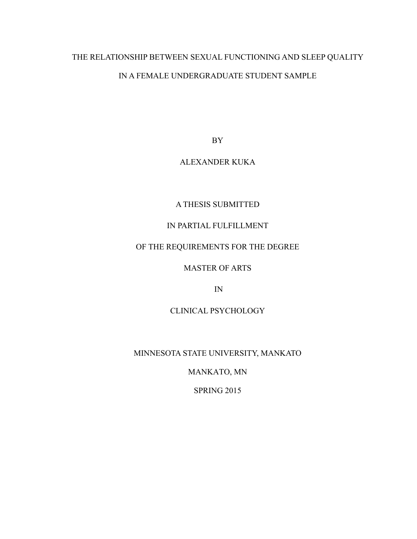# THE RELATIONSHIP BETWEEN SEXUAL FUNCTIONING AND SLEEP QUALITY IN A FEMALE UNDERGRADUATE STUDENT SAMPLE

BY

# ALEXANDER KUKA

# A THESIS SUBMITTED

# IN PARTIAL FULFILLMENT

# OF THE REQUIREMENTS FOR THE DEGREE

# MASTER OF ARTS

IN

# CLINICAL PSYCHOLOGY

# MINNESOTA STATE UNIVERSITY, MANKATO

MANKATO, MN

SPRING 2015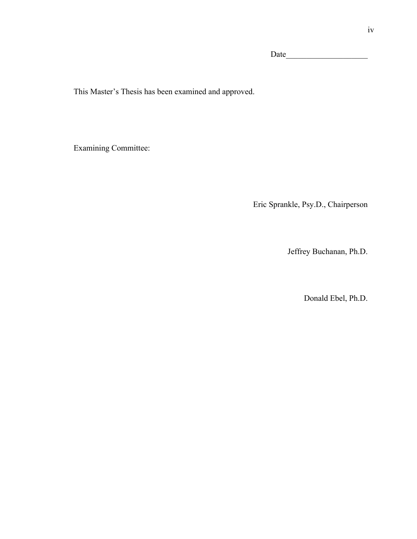Date  $\Box$ 

This Master's Thesis has been examined and approved.

Examining Committee:

Eric Sprankle, Psy.D., Chairperson

Jeffrey Buchanan, Ph.D.

Donald Ebel, Ph.D.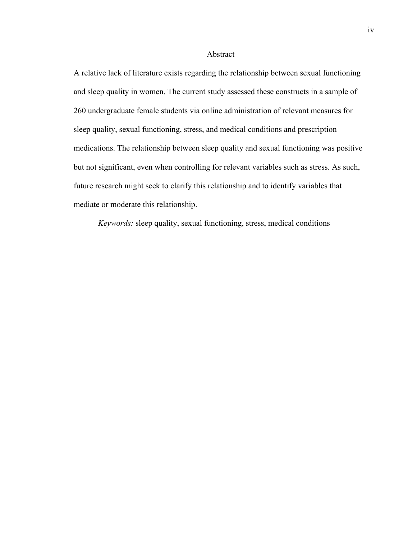## Abstract

A relative lack of literature exists regarding the relationship between sexual functioning and sleep quality in women. The current study assessed these constructs in a sample of 260 undergraduate female students via online administration of relevant measures for sleep quality, sexual functioning, stress, and medical conditions and prescription medications. The relationship between sleep quality and sexual functioning was positive but not significant, even when controlling for relevant variables such as stress. As such, future research might seek to clarify this relationship and to identify variables that mediate or moderate this relationship.

*Keywords:* sleep quality, sexual functioning, stress, medical conditions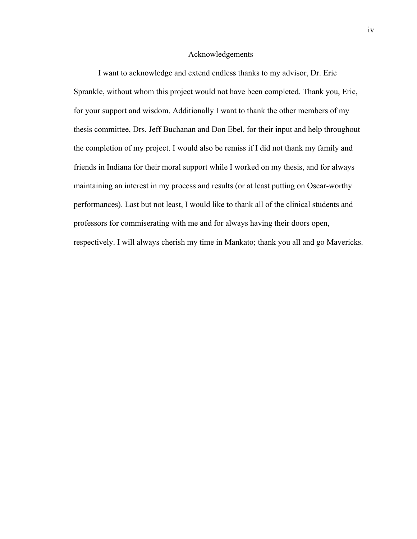### Acknowledgements

I want to acknowledge and extend endless thanks to my advisor, Dr. Eric Sprankle, without whom this project would not have been completed. Thank you, Eric, for your support and wisdom. Additionally I want to thank the other members of my thesis committee, Drs. Jeff Buchanan and Don Ebel, for their input and help throughout the completion of my project. I would also be remiss if I did not thank my family and friends in Indiana for their moral support while I worked on my thesis, and for always maintaining an interest in my process and results (or at least putting on Oscar-worthy performances). Last but not least, I would like to thank all of the clinical students and professors for commiserating with me and for always having their doors open, respectively. I will always cherish my time in Mankato; thank you all and go Mavericks.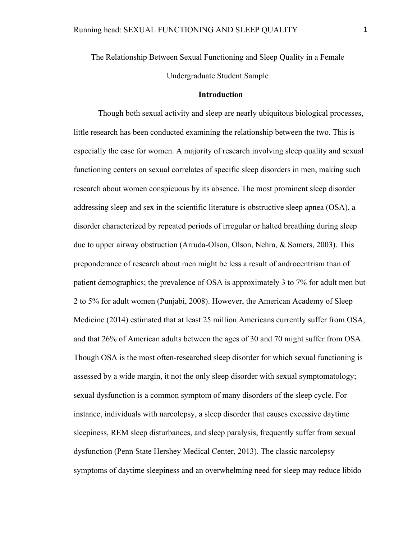The Relationship Between Sexual Functioning and Sleep Quality in a Female Undergraduate Student Sample

## **Introduction**

Though both sexual activity and sleep are nearly ubiquitous biological processes, little research has been conducted examining the relationship between the two. This is especially the case for women. A majority of research involving sleep quality and sexual functioning centers on sexual correlates of specific sleep disorders in men, making such research about women conspicuous by its absence. The most prominent sleep disorder addressing sleep and sex in the scientific literature is obstructive sleep apnea (OSA), a disorder characterized by repeated periods of irregular or halted breathing during sleep due to upper airway obstruction (Arruda-Olson, Olson, Nehra, & Somers, 2003). This preponderance of research about men might be less a result of androcentrism than of patient demographics; the prevalence of OSA is approximately 3 to 7% for adult men but 2 to 5% for adult women (Punjabi, 2008). However, the American Academy of Sleep Medicine (2014) estimated that at least 25 million Americans currently suffer from OSA, and that 26% of American adults between the ages of 30 and 70 might suffer from OSA. Though OSA is the most often-researched sleep disorder for which sexual functioning is assessed by a wide margin, it not the only sleep disorder with sexual symptomatology; sexual dysfunction is a common symptom of many disorders of the sleep cycle. For instance, individuals with narcolepsy, a sleep disorder that causes excessive daytime sleepiness, REM sleep disturbances, and sleep paralysis, frequently suffer from sexual dysfunction (Penn State Hershey Medical Center, 2013). The classic narcolepsy symptoms of daytime sleepiness and an overwhelming need for sleep may reduce libido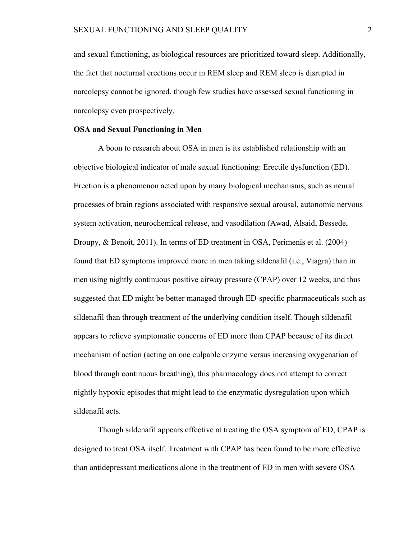and sexual functioning, as biological resources are prioritized toward sleep. Additionally, the fact that nocturnal erections occur in REM sleep and REM sleep is disrupted in narcolepsy cannot be ignored, though few studies have assessed sexual functioning in narcolepsy even prospectively.

### **OSA and Sexual Functioning in Men**

A boon to research about OSA in men is its established relationship with an objective biological indicator of male sexual functioning: Erectile dysfunction (ED). Erection is a phenomenon acted upon by many biological mechanisms, such as neural processes of brain regions associated with responsive sexual arousal, autonomic nervous system activation, neurochemical release, and vasodilation (Awad, Alsaid, Bessede, Droupy, & Benoît, 2011). In terms of ED treatment in OSA, Perimenis et al. (2004) found that ED symptoms improved more in men taking sildenafil (i.e., Viagra) than in men using nightly continuous positive airway pressure (CPAP) over 12 weeks, and thus suggested that ED might be better managed through ED-specific pharmaceuticals such as sildenafil than through treatment of the underlying condition itself. Though sildenafil appears to relieve symptomatic concerns of ED more than CPAP because of its direct mechanism of action (acting on one culpable enzyme versus increasing oxygenation of blood through continuous breathing), this pharmacology does not attempt to correct nightly hypoxic episodes that might lead to the enzymatic dysregulation upon which sildenafil acts.

Though sildenafil appears effective at treating the OSA symptom of ED, CPAP is designed to treat OSA itself. Treatment with CPAP has been found to be more effective than antidepressant medications alone in the treatment of ED in men with severe OSA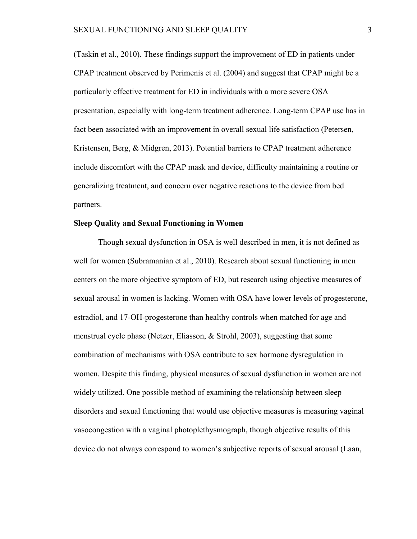(Taskin et al., 2010). These findings support the improvement of ED in patients under CPAP treatment observed by Perimenis et al. (2004) and suggest that CPAP might be a particularly effective treatment for ED in individuals with a more severe OSA presentation, especially with long-term treatment adherence. Long-term CPAP use has in fact been associated with an improvement in overall sexual life satisfaction (Petersen, Kristensen, Berg, & Midgren, 2013). Potential barriers to CPAP treatment adherence include discomfort with the CPAP mask and device, difficulty maintaining a routine or generalizing treatment, and concern over negative reactions to the device from bed partners.

### **Sleep Quality and Sexual Functioning in Women**

Though sexual dysfunction in OSA is well described in men, it is not defined as well for women (Subramanian et al., 2010). Research about sexual functioning in men centers on the more objective symptom of ED, but research using objective measures of sexual arousal in women is lacking. Women with OSA have lower levels of progesterone, estradiol, and 17-OH-progesterone than healthy controls when matched for age and menstrual cycle phase (Netzer, Eliasson, & Strohl, 2003), suggesting that some combination of mechanisms with OSA contribute to sex hormone dysregulation in women. Despite this finding, physical measures of sexual dysfunction in women are not widely utilized. One possible method of examining the relationship between sleep disorders and sexual functioning that would use objective measures is measuring vaginal vasocongestion with a vaginal photoplethysmograph, though objective results of this device do not always correspond to women's subjective reports of sexual arousal (Laan,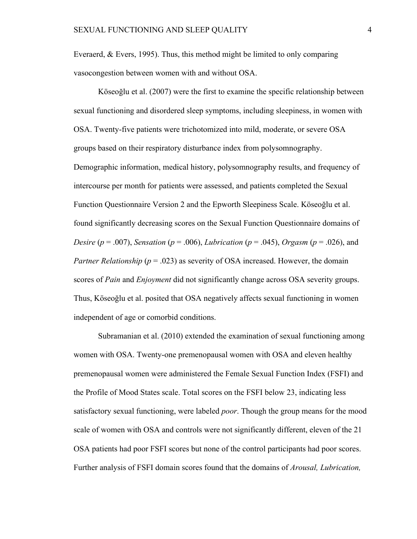Everaerd, & Evers, 1995). Thus, this method might be limited to only comparing vasocongestion between women with and without OSA.

Köseoğlu et al. (2007) were the first to examine the specific relationship between sexual functioning and disordered sleep symptoms, including sleepiness, in women with OSA. Twenty-five patients were trichotomized into mild, moderate, or severe OSA groups based on their respiratory disturbance index from polysomnography. Demographic information, medical history, polysomnography results, and frequency of intercourse per month for patients were assessed, and patients completed the Sexual Function Questionnaire Version 2 and the Epworth Sleepiness Scale. Köseoğlu et al. found significantly decreasing scores on the Sexual Function Questionnaire domains of *Desire* ( $p = .007$ ), *Sensation* ( $p = .006$ ), *Lubrication* ( $p = .045$ ), *Orgasm* ( $p = .026$ ), and *Partner Relationship* ( $p = .023$ ) as severity of OSA increased. However, the domain scores of *Pain* and *Enjoyment* did not significantly change across OSA severity groups. Thus, Köseoğlu et al. posited that OSA negatively affects sexual functioning in women independent of age or comorbid conditions.

Subramanian et al. (2010) extended the examination of sexual functioning among women with OSA. Twenty-one premenopausal women with OSA and eleven healthy premenopausal women were administered the Female Sexual Function Index (FSFI) and the Profile of Mood States scale. Total scores on the FSFI below 23, indicating less satisfactory sexual functioning, were labeled *poor*. Though the group means for the mood scale of women with OSA and controls were not significantly different, eleven of the 21 OSA patients had poor FSFI scores but none of the control participants had poor scores. Further analysis of FSFI domain scores found that the domains of *Arousal, Lubrication,*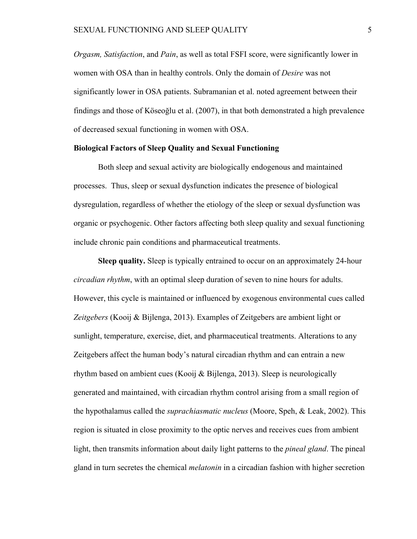*Orgasm, Satisfaction*, and *Pain*, as well as total FSFI score, were significantly lower in women with OSA than in healthy controls. Only the domain of *Desire* was not significantly lower in OSA patients. Subramanian et al. noted agreement between their findings and those of Köseoğlu et al. (2007), in that both demonstrated a high prevalence of decreased sexual functioning in women with OSA.

### **Biological Factors of Sleep Quality and Sexual Functioning**

Both sleep and sexual activity are biologically endogenous and maintained processes. Thus, sleep or sexual dysfunction indicates the presence of biological dysregulation, regardless of whether the etiology of the sleep or sexual dysfunction was organic or psychogenic. Other factors affecting both sleep quality and sexual functioning include chronic pain conditions and pharmaceutical treatments.

**Sleep quality.** Sleep is typically entrained to occur on an approximately 24-hour *circadian rhythm*, with an optimal sleep duration of seven to nine hours for adults. However, this cycle is maintained or influenced by exogenous environmental cues called *Zeitgebers* (Kooij & Bijlenga, 2013). Examples of Zeitgebers are ambient light or sunlight, temperature, exercise, diet, and pharmaceutical treatments. Alterations to any Zeitgebers affect the human body's natural circadian rhythm and can entrain a new rhythm based on ambient cues (Kooij & Bijlenga, 2013). Sleep is neurologically generated and maintained, with circadian rhythm control arising from a small region of the hypothalamus called the *suprachiasmatic nucleus* (Moore, Speh, & Leak, 2002). This region is situated in close proximity to the optic nerves and receives cues from ambient light, then transmits information about daily light patterns to the *pineal gland*. The pineal gland in turn secretes the chemical *melatonin* in a circadian fashion with higher secretion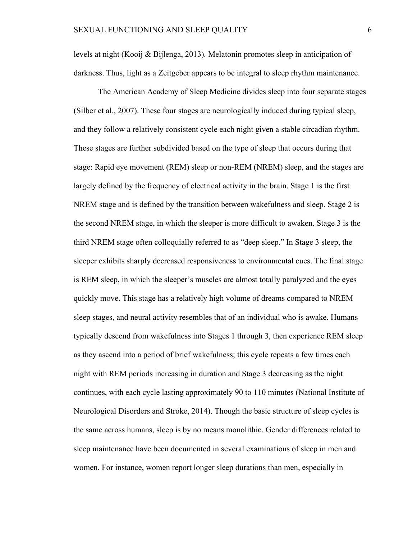levels at night (Kooij & Bijlenga, 2013)*.* Melatonin promotes sleep in anticipation of darkness. Thus, light as a Zeitgeber appears to be integral to sleep rhythm maintenance.

The American Academy of Sleep Medicine divides sleep into four separate stages (Silber et al., 2007). These four stages are neurologically induced during typical sleep, and they follow a relatively consistent cycle each night given a stable circadian rhythm. These stages are further subdivided based on the type of sleep that occurs during that stage: Rapid eye movement (REM) sleep or non-REM (NREM) sleep, and the stages are largely defined by the frequency of electrical activity in the brain. Stage 1 is the first NREM stage and is defined by the transition between wakefulness and sleep. Stage 2 is the second NREM stage, in which the sleeper is more difficult to awaken. Stage 3 is the third NREM stage often colloquially referred to as "deep sleep." In Stage 3 sleep, the sleeper exhibits sharply decreased responsiveness to environmental cues. The final stage is REM sleep, in which the sleeper's muscles are almost totally paralyzed and the eyes quickly move. This stage has a relatively high volume of dreams compared to NREM sleep stages, and neural activity resembles that of an individual who is awake. Humans typically descend from wakefulness into Stages 1 through 3, then experience REM sleep as they ascend into a period of brief wakefulness; this cycle repeats a few times each night with REM periods increasing in duration and Stage 3 decreasing as the night continues, with each cycle lasting approximately 90 to 110 minutes (National Institute of Neurological Disorders and Stroke, 2014). Though the basic structure of sleep cycles is the same across humans, sleep is by no means monolithic. Gender differences related to sleep maintenance have been documented in several examinations of sleep in men and women. For instance, women report longer sleep durations than men, especially in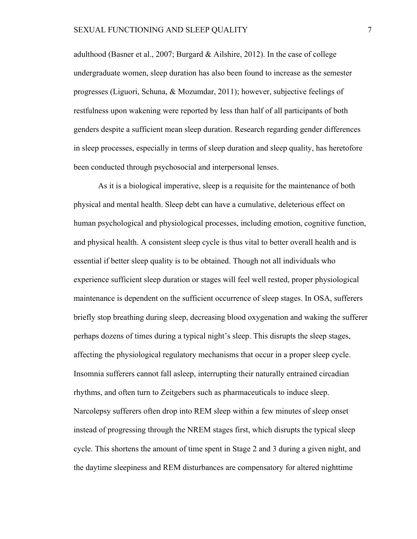adulthood (Basner et al., 2007; Burgard & Ailshire, 2012). In the case of college undergraduate women, sleep duration has also been found to increase as the semester progresses (Liguori, Schuna, & Mozumdar, 2011); however, subjective feelings of restfulness upon wakening were reported by less than half of all participants of both genders despite a sufficient mean sleep duration. Research regarding gender differences in sleep processes, especially in terms of sleep duration and sleep quality, has heretofore been conducted through psychosocial and interpersonal lenses.

As it is a biological imperative, sleep is a requisite for the maintenance of both physical and mental health. Sleep debt can have a cumulative, deleterious effect on human psychological and physiological processes, including emotion, cognitive function, and physical health. A consistent sleep cycle is thus vital to better overall health and is essential if better sleep quality is to be obtained. Though not all individuals who experience sufficient sleep duration or stages will feel well rested, proper physiological maintenance is dependent on the sufficient occurrence of sleep stages. In OSA, sufferers briefly stop breathing during sleep, decreasing blood oxygenation and waking the sufferer perhaps dozens of times during a typical night's sleep. This disrupts the sleep stages, affecting the physiological regulatory mechanisms that occur in a proper sleep cycle. Insomnia sufferers cannot fall asleep, interrupting their naturally entrained circadian rhythms, and often turn to Zeitgebers such as pharmaceuticals to induce sleep. Narcolepsy sufferers often drop into REM sleep within a few minutes of sleep onset instead of progressing through the NREM stages first, which disrupts the typical sleep cycle. This shortens the amount of time spent in Stage 2 and 3 during a given night, and the daytime sleepiness and REM disturbances are compensatory for altered nighttime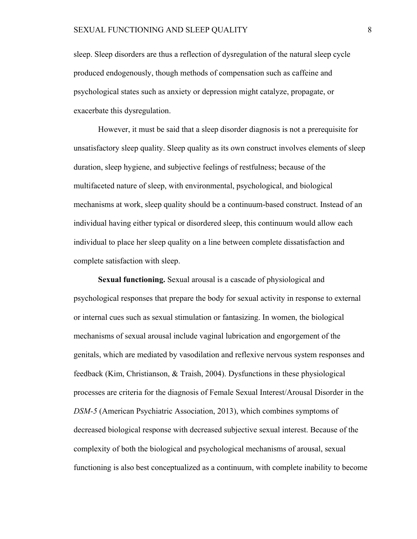sleep. Sleep disorders are thus a reflection of dysregulation of the natural sleep cycle produced endogenously, though methods of compensation such as caffeine and psychological states such as anxiety or depression might catalyze, propagate, or exacerbate this dysregulation.

However, it must be said that a sleep disorder diagnosis is not a prerequisite for unsatisfactory sleep quality. Sleep quality as its own construct involves elements of sleep duration, sleep hygiene, and subjective feelings of restfulness; because of the multifaceted nature of sleep, with environmental, psychological, and biological mechanisms at work, sleep quality should be a continuum-based construct. Instead of an individual having either typical or disordered sleep, this continuum would allow each individual to place her sleep quality on a line between complete dissatisfaction and complete satisfaction with sleep.

**Sexual functioning.** Sexual arousal is a cascade of physiological and psychological responses that prepare the body for sexual activity in response to external or internal cues such as sexual stimulation or fantasizing. In women, the biological mechanisms of sexual arousal include vaginal lubrication and engorgement of the genitals, which are mediated by vasodilation and reflexive nervous system responses and feedback (Kim, Christianson, & Traish, 2004). Dysfunctions in these physiological processes are criteria for the diagnosis of Female Sexual Interest/Arousal Disorder in the *DSM-5* (American Psychiatric Association, 2013), which combines symptoms of decreased biological response with decreased subjective sexual interest. Because of the complexity of both the biological and psychological mechanisms of arousal, sexual functioning is also best conceptualized as a continuum, with complete inability to become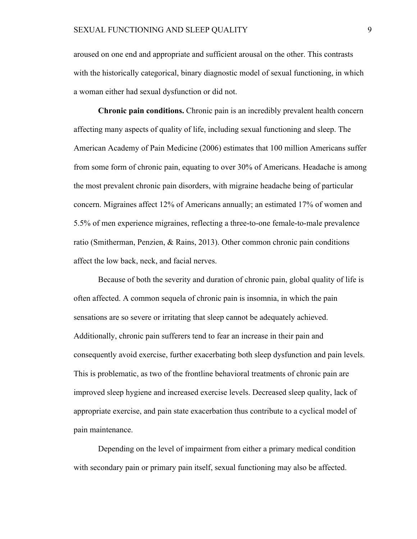aroused on one end and appropriate and sufficient arousal on the other. This contrasts with the historically categorical, binary diagnostic model of sexual functioning, in which a woman either had sexual dysfunction or did not.

**Chronic pain conditions.** Chronic pain is an incredibly prevalent health concern affecting many aspects of quality of life, including sexual functioning and sleep. The American Academy of Pain Medicine (2006) estimates that 100 million Americans suffer from some form of chronic pain, equating to over 30% of Americans. Headache is among the most prevalent chronic pain disorders, with migraine headache being of particular concern. Migraines affect 12% of Americans annually; an estimated 17% of women and 5.5% of men experience migraines, reflecting a three-to-one female-to-male prevalence ratio (Smitherman, Penzien, & Rains, 2013). Other common chronic pain conditions affect the low back, neck, and facial nerves.

Because of both the severity and duration of chronic pain, global quality of life is often affected. A common sequela of chronic pain is insomnia, in which the pain sensations are so severe or irritating that sleep cannot be adequately achieved. Additionally, chronic pain sufferers tend to fear an increase in their pain and consequently avoid exercise, further exacerbating both sleep dysfunction and pain levels. This is problematic, as two of the frontline behavioral treatments of chronic pain are improved sleep hygiene and increased exercise levels. Decreased sleep quality, lack of appropriate exercise, and pain state exacerbation thus contribute to a cyclical model of pain maintenance.

Depending on the level of impairment from either a primary medical condition with secondary pain or primary pain itself, sexual functioning may also be affected.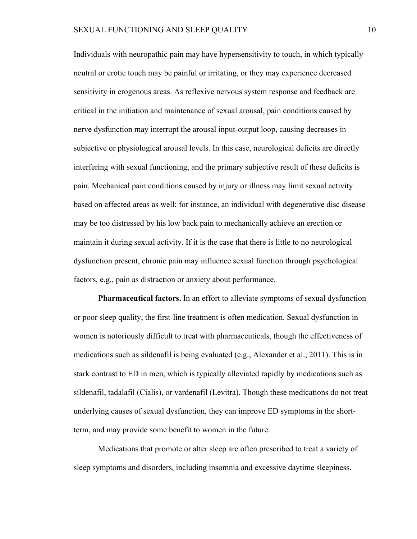Individuals with neuropathic pain may have hypersensitivity to touch, in which typically neutral or erotic touch may be painful or irritating, or they may experience decreased sensitivity in erogenous areas. As reflexive nervous system response and feedback are critical in the initiation and maintenance of sexual arousal, pain conditions caused by nerve dysfunction may interrupt the arousal input-output loop, causing decreases in subjective or physiological arousal levels. In this case, neurological deficits are directly interfering with sexual functioning, and the primary subjective result of these deficits is pain. Mechanical pain conditions caused by injury or illness may limit sexual activity based on affected areas as well; for instance, an individual with degenerative disc disease may be too distressed by his low back pain to mechanically achieve an erection or maintain it during sexual activity. If it is the case that there is little to no neurological dysfunction present, chronic pain may influence sexual function through psychological factors, e.g., pain as distraction or anxiety about performance.

**Pharmaceutical factors.** In an effort to alleviate symptoms of sexual dysfunction or poor sleep quality, the first-line treatment is often medication. Sexual dysfunction in women is notoriously difficult to treat with pharmaceuticals, though the effectiveness of medications such as sildenafil is being evaluated (e.g., Alexander et al., 2011). This is in stark contrast to ED in men, which is typically alleviated rapidly by medications such as sildenafil, tadalafil (Cialis), or vardenafil (Levitra). Though these medications do not treat underlying causes of sexual dysfunction, they can improve ED symptoms in the shortterm, and may provide some benefit to women in the future.

Medications that promote or alter sleep are often prescribed to treat a variety of sleep symptoms and disorders, including insomnia and excessive daytime sleepiness.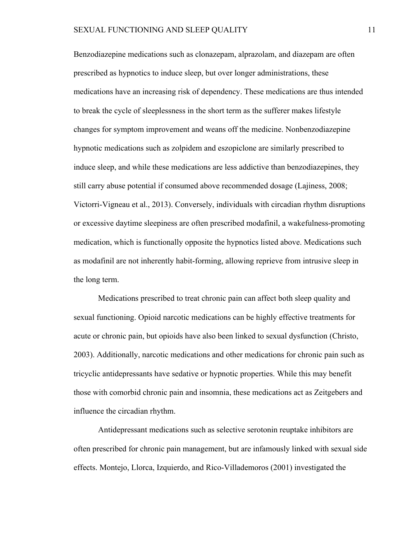Benzodiazepine medications such as clonazepam, alprazolam, and diazepam are often prescribed as hypnotics to induce sleep, but over longer administrations, these medications have an increasing risk of dependency. These medications are thus intended to break the cycle of sleeplessness in the short term as the sufferer makes lifestyle changes for symptom improvement and weans off the medicine. Nonbenzodiazepine hypnotic medications such as zolpidem and eszopiclone are similarly prescribed to induce sleep, and while these medications are less addictive than benzodiazepines, they still carry abuse potential if consumed above recommended dosage (Lajiness, 2008; Victorri-Vigneau et al., 2013). Conversely, individuals with circadian rhythm disruptions or excessive daytime sleepiness are often prescribed modafinil, a wakefulness-promoting medication, which is functionally opposite the hypnotics listed above. Medications such as modafinil are not inherently habit-forming, allowing reprieve from intrusive sleep in the long term.

Medications prescribed to treat chronic pain can affect both sleep quality and sexual functioning. Opioid narcotic medications can be highly effective treatments for acute or chronic pain, but opioids have also been linked to sexual dysfunction (Christo, 2003). Additionally, narcotic medications and other medications for chronic pain such as tricyclic antidepressants have sedative or hypnotic properties. While this may benefit those with comorbid chronic pain and insomnia, these medications act as Zeitgebers and influence the circadian rhythm.

Antidepressant medications such as selective serotonin reuptake inhibitors are often prescribed for chronic pain management, but are infamously linked with sexual side effects. Montejo, Llorca, Izquierdo, and Rico-Villademoros (2001) investigated the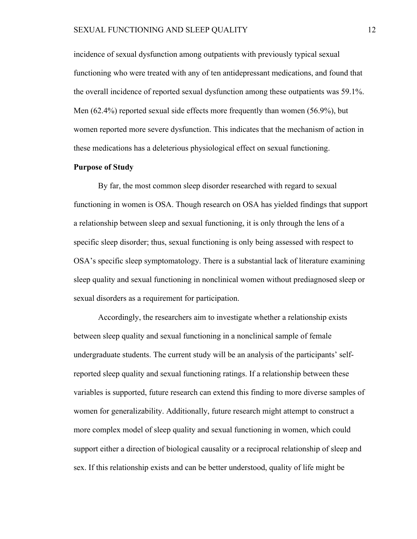incidence of sexual dysfunction among outpatients with previously typical sexual functioning who were treated with any of ten antidepressant medications, and found that the overall incidence of reported sexual dysfunction among these outpatients was 59.1%. Men (62.4%) reported sexual side effects more frequently than women (56.9%), but women reported more severe dysfunction. This indicates that the mechanism of action in these medications has a deleterious physiological effect on sexual functioning.

### **Purpose of Study**

By far, the most common sleep disorder researched with regard to sexual functioning in women is OSA. Though research on OSA has yielded findings that support a relationship between sleep and sexual functioning, it is only through the lens of a specific sleep disorder; thus, sexual functioning is only being assessed with respect to OSA's specific sleep symptomatology. There is a substantial lack of literature examining sleep quality and sexual functioning in nonclinical women without prediagnosed sleep or sexual disorders as a requirement for participation.

Accordingly, the researchers aim to investigate whether a relationship exists between sleep quality and sexual functioning in a nonclinical sample of female undergraduate students. The current study will be an analysis of the participants' selfreported sleep quality and sexual functioning ratings. If a relationship between these variables is supported, future research can extend this finding to more diverse samples of women for generalizability. Additionally, future research might attempt to construct a more complex model of sleep quality and sexual functioning in women, which could support either a direction of biological causality or a reciprocal relationship of sleep and sex. If this relationship exists and can be better understood, quality of life might be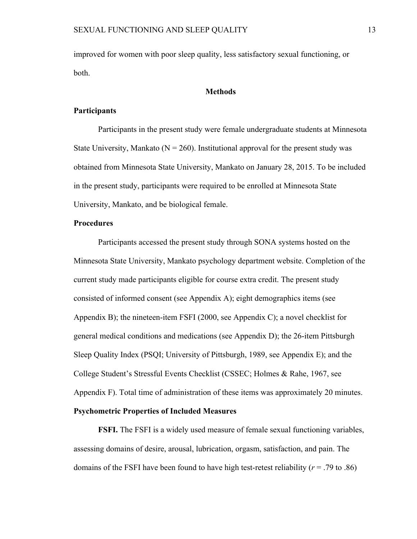improved for women with poor sleep quality, less satisfactory sexual functioning, or both.

### **Methods**

### **Participants**

Participants in the present study were female undergraduate students at Minnesota State University, Mankato ( $N = 260$ ). Institutional approval for the present study was obtained from Minnesota State University, Mankato on January 28, 2015. To be included in the present study, participants were required to be enrolled at Minnesota State University, Mankato, and be biological female.

## **Procedures**

Participants accessed the present study through SONA systems hosted on the Minnesota State University, Mankato psychology department website. Completion of the current study made participants eligible for course extra credit. The present study consisted of informed consent (see Appendix A); eight demographics items (see Appendix B); the nineteen-item FSFI (2000, see Appendix C); a novel checklist for general medical conditions and medications (see Appendix D); the 26-item Pittsburgh Sleep Quality Index (PSQI; University of Pittsburgh, 1989, see Appendix E); and the College Student's Stressful Events Checklist (CSSEC; Holmes & Rahe, 1967, see Appendix F). Total time of administration of these items was approximately 20 minutes. **Psychometric Properties of Included Measures**

**FSFI.** The FSFI is a widely used measure of female sexual functioning variables, assessing domains of desire, arousal, lubrication, orgasm, satisfaction, and pain. The domains of the FSFI have been found to have high test-retest reliability (*r* = .79 to .86)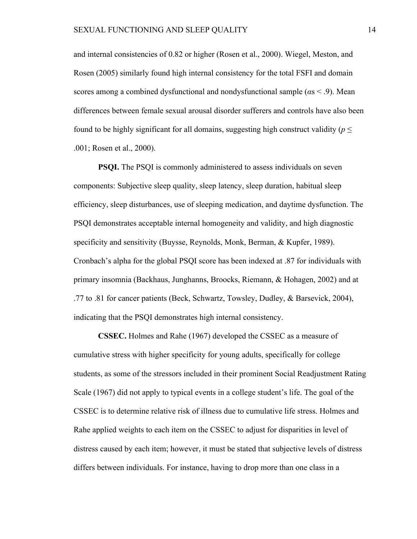and internal consistencies of 0.82 or higher (Rosen et al., 2000). Wiegel, Meston, and Rosen (2005) similarly found high internal consistency for the total FSFI and domain scores among a combined dysfunctional and nondysfunctional sample (*α*s < .9). Mean differences between female sexual arousal disorder sufferers and controls have also been found to be highly significant for all domains, suggesting high construct validity ( $p \leq$ .001; Rosen et al., 2000).

**PSQI.** The PSQI is commonly administered to assess individuals on seven components: Subjective sleep quality, sleep latency, sleep duration, habitual sleep efficiency, sleep disturbances, use of sleeping medication, and daytime dysfunction. The PSQI demonstrates acceptable internal homogeneity and validity, and high diagnostic specificity and sensitivity (Buysse, Reynolds, Monk, Berman, & Kupfer, 1989). Cronbach's alpha for the global PSQI score has been indexed at .87 for individuals with primary insomnia (Backhaus, Junghanns, Broocks, Riemann, & Hohagen, 2002) and at .77 to .81 for cancer patients (Beck, Schwartz, Towsley, Dudley, & Barsevick, 2004), indicating that the PSQI demonstrates high internal consistency.

**CSSEC.** Holmes and Rahe (1967) developed the CSSEC as a measure of cumulative stress with higher specificity for young adults, specifically for college students, as some of the stressors included in their prominent Social Readjustment Rating Scale (1967) did not apply to typical events in a college student's life. The goal of the CSSEC is to determine relative risk of illness due to cumulative life stress. Holmes and Rahe applied weights to each item on the CSSEC to adjust for disparities in level of distress caused by each item; however, it must be stated that subjective levels of distress differs between individuals. For instance, having to drop more than one class in a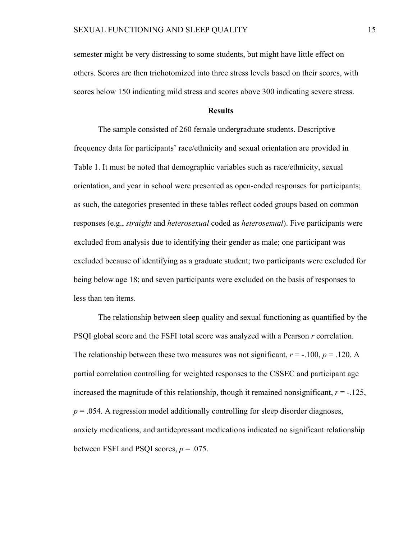semester might be very distressing to some students, but might have little effect on others. Scores are then trichotomized into three stress levels based on their scores, with scores below 150 indicating mild stress and scores above 300 indicating severe stress.

### **Results**

The sample consisted of 260 female undergraduate students. Descriptive frequency data for participants' race/ethnicity and sexual orientation are provided in Table 1. It must be noted that demographic variables such as race/ethnicity, sexual orientation, and year in school were presented as open-ended responses for participants; as such, the categories presented in these tables reflect coded groups based on common responses (e.g., *straight* and *heterosexual* coded as *heterosexual*). Five participants were excluded from analysis due to identifying their gender as male; one participant was excluded because of identifying as a graduate student; two participants were excluded for being below age 18; and seven participants were excluded on the basis of responses to less than ten items.

The relationship between sleep quality and sexual functioning as quantified by the PSQI global score and the FSFI total score was analyzed with a Pearson *r* correlation. The relationship between these two measures was not significant,  $r = -100$ ,  $p = 0.120$ . A partial correlation controlling for weighted responses to the CSSEC and participant age increased the magnitude of this relationship, though it remained nonsignificant,  $r = -125$ ,  $p = 0.054$ . A regression model additionally controlling for sleep disorder diagnoses, anxiety medications, and antidepressant medications indicated no significant relationship between FSFI and PSQI scores,  $p = .075$ .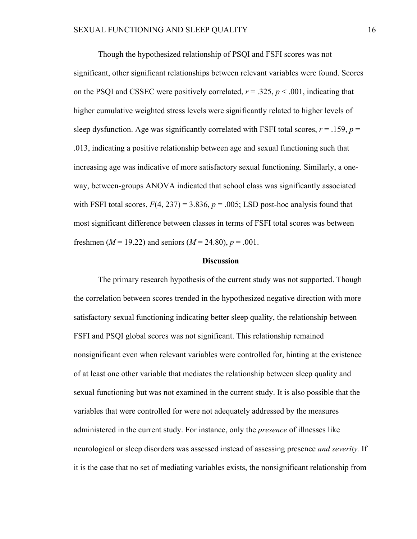Though the hypothesized relationship of PSQI and FSFI scores was not significant, other significant relationships between relevant variables were found. Scores on the PSQI and CSSEC were positively correlated,  $r = .325$ ,  $p < .001$ , indicating that higher cumulative weighted stress levels were significantly related to higher levels of sleep dysfunction. Age was significantly correlated with FSFI total scores,  $r = .159$ ,  $p =$ .013, indicating a positive relationship between age and sexual functioning such that increasing age was indicative of more satisfactory sexual functioning. Similarly, a oneway, between-groups ANOVA indicated that school class was significantly associated with FSFI total scores,  $F(4, 237) = 3.836$ ,  $p = .005$ ; LSD post-hoc analysis found that most significant difference between classes in terms of FSFI total scores was between freshmen ( $M = 19.22$ ) and seniors ( $M = 24.80$ ),  $p = .001$ .

### **Discussion**

The primary research hypothesis of the current study was not supported. Though the correlation between scores trended in the hypothesized negative direction with more satisfactory sexual functioning indicating better sleep quality, the relationship between FSFI and PSQI global scores was not significant. This relationship remained nonsignificant even when relevant variables were controlled for, hinting at the existence of at least one other variable that mediates the relationship between sleep quality and sexual functioning but was not examined in the current study. It is also possible that the variables that were controlled for were not adequately addressed by the measures administered in the current study. For instance, only the *presence* of illnesses like neurological or sleep disorders was assessed instead of assessing presence *and severity.* If it is the case that no set of mediating variables exists, the nonsignificant relationship from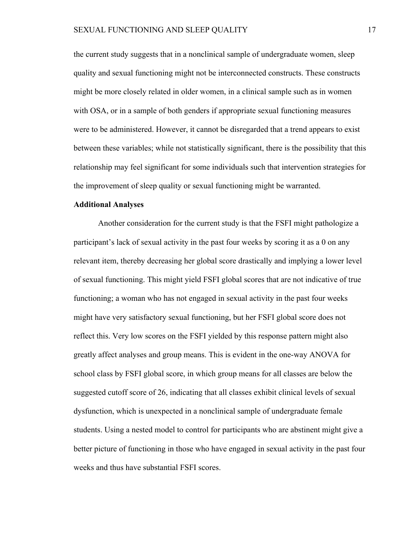the current study suggests that in a nonclinical sample of undergraduate women, sleep quality and sexual functioning might not be interconnected constructs. These constructs might be more closely related in older women, in a clinical sample such as in women with OSA, or in a sample of both genders if appropriate sexual functioning measures were to be administered. However, it cannot be disregarded that a trend appears to exist between these variables; while not statistically significant, there is the possibility that this relationship may feel significant for some individuals such that intervention strategies for the improvement of sleep quality or sexual functioning might be warranted.

### **Additional Analyses**

Another consideration for the current study is that the FSFI might pathologize a participant's lack of sexual activity in the past four weeks by scoring it as a 0 on any relevant item, thereby decreasing her global score drastically and implying a lower level of sexual functioning. This might yield FSFI global scores that are not indicative of true functioning; a woman who has not engaged in sexual activity in the past four weeks might have very satisfactory sexual functioning, but her FSFI global score does not reflect this. Very low scores on the FSFI yielded by this response pattern might also greatly affect analyses and group means. This is evident in the one-way ANOVA for school class by FSFI global score, in which group means for all classes are below the suggested cutoff score of 26, indicating that all classes exhibit clinical levels of sexual dysfunction, which is unexpected in a nonclinical sample of undergraduate female students. Using a nested model to control for participants who are abstinent might give a better picture of functioning in those who have engaged in sexual activity in the past four weeks and thus have substantial FSFI scores.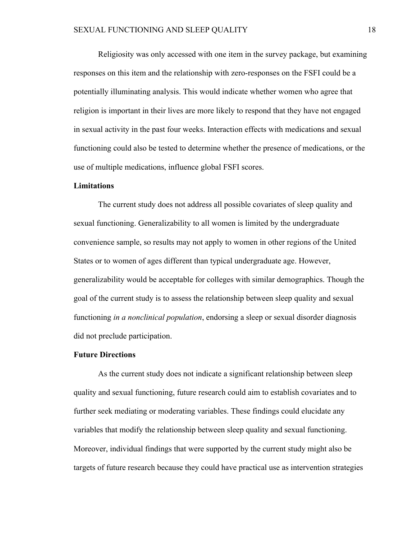Religiosity was only accessed with one item in the survey package, but examining responses on this item and the relationship with zero-responses on the FSFI could be a potentially illuminating analysis. This would indicate whether women who agree that religion is important in their lives are more likely to respond that they have not engaged in sexual activity in the past four weeks. Interaction effects with medications and sexual functioning could also be tested to determine whether the presence of medications, or the use of multiple medications, influence global FSFI scores.

### **Limitations**

The current study does not address all possible covariates of sleep quality and sexual functioning. Generalizability to all women is limited by the undergraduate convenience sample, so results may not apply to women in other regions of the United States or to women of ages different than typical undergraduate age. However, generalizability would be acceptable for colleges with similar demographics. Though the goal of the current study is to assess the relationship between sleep quality and sexual functioning *in a nonclinical population*, endorsing a sleep or sexual disorder diagnosis did not preclude participation.

### **Future Directions**

As the current study does not indicate a significant relationship between sleep quality and sexual functioning, future research could aim to establish covariates and to further seek mediating or moderating variables. These findings could elucidate any variables that modify the relationship between sleep quality and sexual functioning. Moreover, individual findings that were supported by the current study might also be targets of future research because they could have practical use as intervention strategies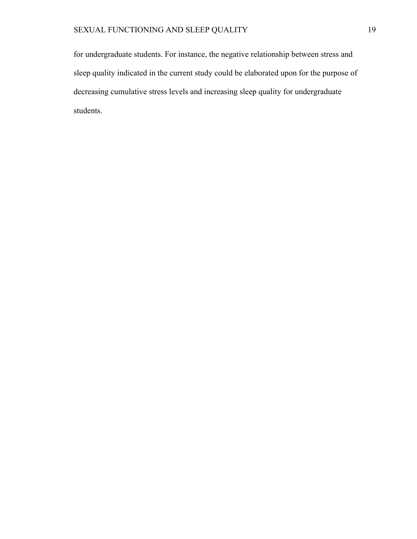for undergraduate students. For instance, the negative relationship between stress and sleep quality indicated in the current study could be elaborated upon for the purpose of decreasing cumulative stress levels and increasing sleep quality for undergraduate students.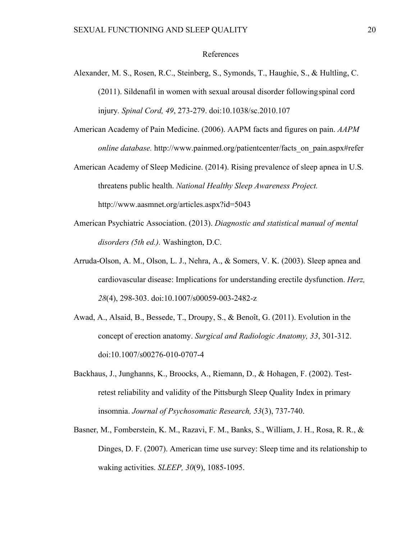### References

- Alexander, M. S., Rosen, R.C., Steinberg, S., Symonds, T., Haughie, S., & Hultling, C. (2011). Sildenafil in women with sexual arousal disorder followingspinal cord injury*. Spinal Cord, 49*, 273-279. doi:10.1038/sc.2010.107
- American Academy of Pain Medicine. (2006). AAPM facts and figures on pain. *AAPM online database.* http://www.painmed.org/patientcenter/facts\_on\_pain.aspx#refer
- American Academy of Sleep Medicine. (2014). Rising prevalence of sleep apnea in U.S. threatens public health. *National Healthy Sleep Awareness Project.* http://www.aasmnet.org/articles.aspx?id=5043
- American Psychiatric Association. (2013). *Diagnostic and statistical manual of mental disorders (5th ed.).* Washington, D.C.
- Arruda-Olson, A. M., Olson, L. J., Nehra, A., & Somers, V. K. (2003). Sleep apnea and cardiovascular disease: Implications for understanding erectile dysfunction. *Herz, 28*(4), 298-303. doi:10.1007/s00059-003-2482-z
- Awad, A., Alsaid, B., Bessede, T., Droupy, S., & Benoît, G. (2011). Evolution in the concept of erection anatomy. *Surgical and Radiologic Anatomy, 33*, 301-312. doi:10.1007/s00276-010-0707-4
- Backhaus, J., Junghanns, K., Broocks, A., Riemann, D., & Hohagen, F. (2002). Testretest reliability and validity of the Pittsburgh Sleep Quality Index in primary insomnia. *Journal of Psychosomatic Research, 53*(3), 737-740.
- Basner, M., Fomberstein, K. M., Razavi, F. M., Banks, S., William, J. H., Rosa, R. R., & Dinges, D. F. (2007). American time use survey: Sleep time and its relationship to waking activities. *SLEEP, 30*(9), 1085-1095.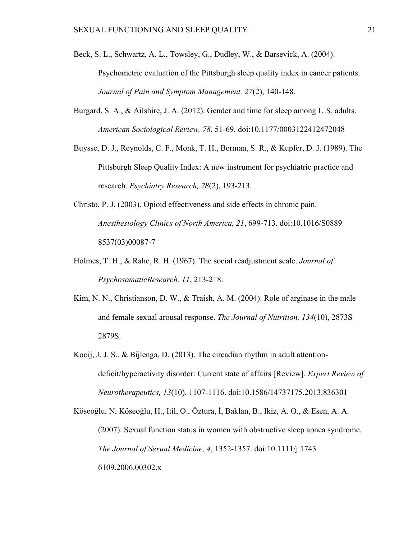- Beck, S. L., Schwartz, A. L., Towsley, G., Dudley, W., & Barsevick, A. (2004). Psychometric evaluation of the Pittsburgh sleep quality index in cancer patients. *Journal of Pain and Symptom Management, 27*(2), 140-148.
- Burgard, S. A., & Ailshire, J. A. (2012). Gender and time for sleep among U.S. adults. *American Sociological Review, 78*, 51-69. doi:10.1177/0003122412472048
- Buysse, D. J., Reynolds, C. F., Monk, T. H., Berman, S. R., & Kupfer, D. J. (1989). The Pittsburgh Sleep Quality Index: A new instrument for psychiatric practice and research. *Psychiatry Research, 28*(2), 193-213.
- Christo, P. J. (2003). Opioid effectiveness and side effects in chronic pain. *Anesthesiology Clinics of North America, 21*, 699-713. doi:10.1016/S0889 8537(03)00087-7
- Holmes, T. H., & Rahe, R. H. (1967). The social readjustment scale. *Journal of PsychosomaticResearch, 11*, 213-218.
- Kim, N. N., Christianson, D. W., & Traish, A. M. (2004). Role of arginase in the male and female sexual arousal response. *The Journal of Nutrition, 134*(10), 2873S 2879S.
- Kooij, J. J. S., & Bijlenga, D. (2013). The circadian rhythm in adult attentiondeficit/hyperactivity disorder: Current state of affairs [Review]. *Expert Review of Neurotherapeutics, 13*(10), 1107-1116. doi:10.1586/14737175.2013.836301

Köseoğlu, N, Köseoğlu, H., Itil, O., Öztura, İ, Baklan, B., Ikiz, A. O., & Esen, A. A. (2007). Sexual function status in women with obstructive sleep apnea syndrome. *The Journal of Sexual Medicine, 4*, 1352-1357. doi:10.1111/j.1743 6109.2006.00302.x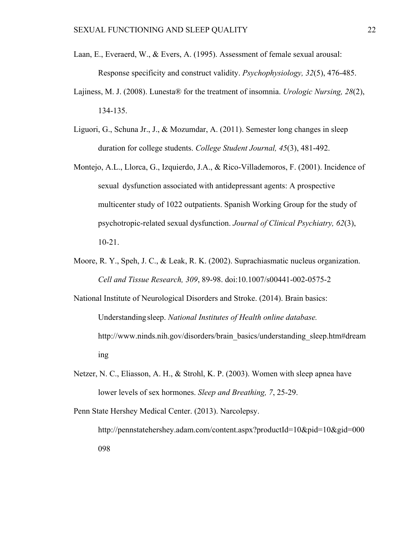- Laan, E., Everaerd, W., & Evers, A. (1995). Assessment of female sexual arousal: Response specificity and construct validity. *Psychophysiology, 32*(5), 476-485.
- Lajiness, M. J. (2008). Lunesta® for the treatment of insomnia. *Urologic Nursing, 28*(2), 134-135.
- Liguori, G., Schuna Jr., J., & Mozumdar, A. (2011). Semester long changes in sleep duration for college students. *College Student Journal, 45*(3), 481-492.
- Montejo, A.L., Llorca, G., Izquierdo, J.A., & Rico-Villademoros, F. (2001). Incidence of sexual dysfunction associated with antidepressant agents: A prospective multicenter study of 1022 outpatients. Spanish Working Group for the study of psychotropic-related sexual dysfunction. *Journal of Clinical Psychiatry, 62*(3), 10-21.
- Moore, R. Y., Speh, J. C., & Leak, R. K. (2002). Suprachiasmatic nucleus organization. *Cell and Tissue Research, 309*, 89-98. doi:10.1007/s00441-002-0575-2

National Institute of Neurological Disorders and Stroke. (2014). Brain basics: Understandingsleep. *National Institutes of Health online database.* http://www.ninds.nih.gov/disorders/brain\_basics/understanding\_sleep.htm#dream ing

Netzer, N. C., Eliasson, A. H., & Strohl, K. P. (2003). Women with sleep apnea have lower levels of sex hormones. *Sleep and Breathing, 7*, 25-29.

Penn State Hershey Medical Center. (2013). Narcolepsy. http://pennstatehershey.adam.com/content.aspx?productId=10&pid=10&gid=000 098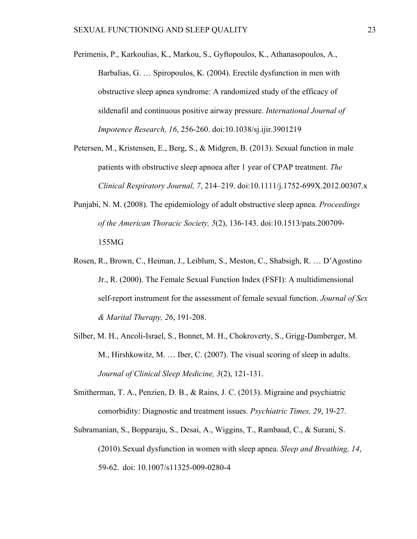- Perimenis, P., Karkoulias, K., Markou, S., Gyftopoulos, K., Athanasopoulos, A., Barbalias, G. … Spiropoulos, K. (2004). Erectile dysfunction in men with obstructive sleep apnea syndrome: A randomized study of the efficacy of sildenafil and continuous positive airway pressure. *International Journal of Impotence Research, 16*, 256-260. doi:10.1038/sj.ijir.3901219
- Petersen, M., Kristensen, E., Berg, S., & Midgren, B. (2013). Sexual function in male patients with obstructive sleep apnoea after 1 year of CPAP treatment. *The Clinical Respiratory Journal, 7*, 214–219. doi:10.1111/j.1752-699X.2012.00307.x
- Punjabi, N. M. (2008). The epidemiology of adult obstructive sleep apnea. *Proceedings of the American Thoracic Society, 5*(2), 136-143. doi:10.1513/pats.200709- 155MG
- Rosen, R., Brown, C., Heiman, J., Leiblum, S., Meston, C., Shabsigh, R. … D'Agostino Jr., R. (2000). The Female Sexual Function Index (FSFI): A multidimensional self-report instrument for the assessment of female sexual function. *Journal of Sex & Marital Therapy, 26*, 191-208.
- Silber, M. H., Ancoli-Israel, S., Bonnet, M. H., Chokroverty, S., Grigg-Damberger, M. M., Hirshkowitz, M. … Iber, C. (2007). The visual scoring of sleep in adults. *Journal of Clinical Sleep Medicine, 3*(2), 121-131.
- Smitherman, T. A., Penzien, D. B., & Rains, J. C. (2013). Migraine and psychiatric comorbidity: Diagnostic and treatment issues. *Psychiatric Times, 29*, 19-27.
- Subramanian, S., Bopparaju, S., Desai, A., Wiggins, T., Rambaud, C., & Surani, S. (2010).Sexual dysfunction in women with sleep apnea. *Sleep and Breathing, 14*, 59-62. doi: 10.1007/s11325-009-0280-4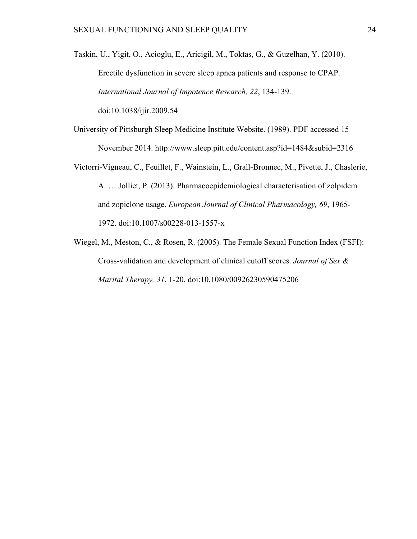- Taskin, U., Yigit, O., Acioglu, E., Aricigil, M., Toktas, G., & Guzelhan, Y. (2010). Erectile dysfunction in severe sleep apnea patients and response to CPAP. *International Journal of Impotence Research, 22*, 134-139. doi:10.1038/ijir.2009.54
- University of Pittsburgh Sleep Medicine Institute Website. (1989). PDF accessed 15 November 2014. http://www.sleep.pitt.edu/content.asp?id=1484&subid=2316
- Victorri-Vigneau, C., Feuillet, F., Wainstein, L., Grall-Bronnec, M., Pivette, J., Chaslerie, A. … Jolliet, P. (2013). Pharmacoepidemiological characterisation of zolpidem and zopiclone usage. *European Journal of Clinical Pharmacology, 69*, 1965- 1972. doi:10.1007/s00228-013-1557-x
- Wiegel, M., Meston, C., & Rosen, R. (2005). The Female Sexual Function Index (FSFI): Cross-validation and development of clinical cutoff scores. *Journal of Sex & Marital Therapy, 31*, 1-20. doi:10.1080/00926230590475206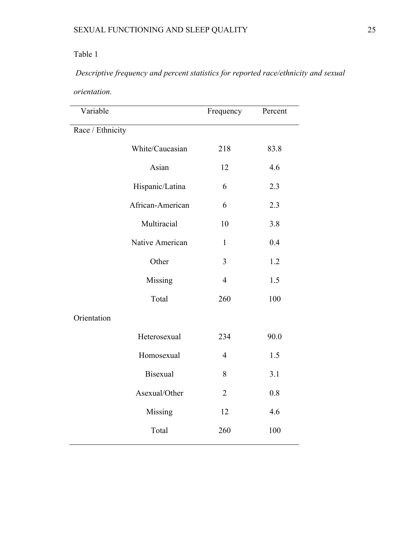# Table 1

# *Descriptive frequency and percent statistics for reported race/ethnicity and sexual*

*orientation.*

| Variable         |                  | Frequency      | Percent |
|------------------|------------------|----------------|---------|
| Race / Ethnicity |                  |                |         |
|                  | White/Caucasian  | 218            | 83.8    |
|                  | Asian            | 12             | 4.6     |
|                  | Hispanic/Latina  | 6              | 2.3     |
|                  | African-American | 6              | 2.3     |
|                  | Multiracial      | 10             | 3.8     |
|                  | Native American  | $\mathbf{1}$   | 0.4     |
|                  | Other            | 3              | 1.2     |
|                  | Missing          | $\overline{4}$ | 1.5     |
|                  | Total            | 260            | 100     |
| Orientation      |                  |                |         |
|                  | Heterosexual     | 234            | 90.0    |
|                  | Homosexual       | $\overline{4}$ | 1.5     |
|                  | <b>Bisexual</b>  | 8              | 3.1     |
|                  | Asexual/Other    | $\overline{2}$ | 0.8     |
|                  | Missing          | 12             | 4.6     |
|                  | Total            | 260            | 100     |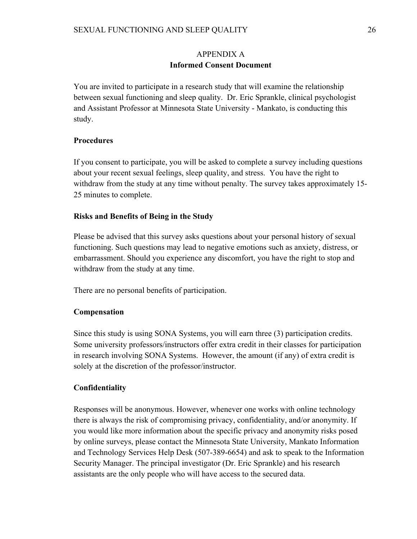# APPENDIX A **Informed Consent Document**

You are invited to participate in a research study that will examine the relationship between sexual functioning and sleep quality. Dr. Eric Sprankle, clinical psychologist and Assistant Professor at Minnesota State University - Mankato, is conducting this study.

# **Procedures**

If you consent to participate, you will be asked to complete a survey including questions about your recent sexual feelings, sleep quality, and stress. You have the right to withdraw from the study at any time without penalty. The survey takes approximately 15- 25 minutes to complete.

## **Risks and Benefits of Being in the Study**

Please be advised that this survey asks questions about your personal history of sexual functioning. Such questions may lead to negative emotions such as anxiety, distress, or embarrassment. Should you experience any discomfort, you have the right to stop and withdraw from the study at any time.

There are no personal benefits of participation.

# **Compensation**

Since this study is using SONA Systems, you will earn three (3) participation credits. Some university professors/instructors offer extra credit in their classes for participation in research involving SONA Systems. However, the amount (if any) of extra credit is solely at the discretion of the professor/instructor.

# **Confidentiality**

Responses will be anonymous. However, whenever one works with online technology there is always the risk of compromising privacy, confidentiality, and/or anonymity. If you would like more information about the specific privacy and anonymity risks posed by online surveys, please contact the Minnesota State University, Mankato Information and Technology Services Help Desk (507-389-6654) and ask to speak to the Information Security Manager. The principal investigator (Dr. Eric Sprankle) and his research assistants are the only people who will have access to the secured data.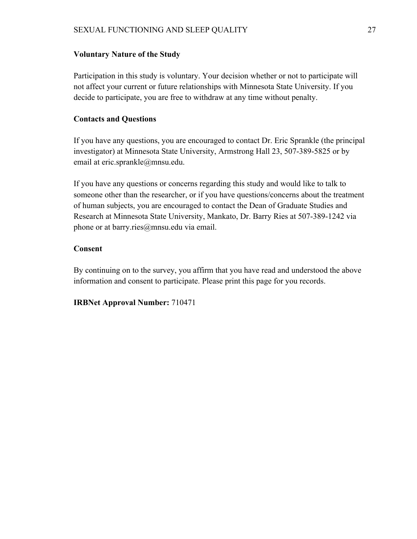## **Voluntary Nature of the Study**

Participation in this study is voluntary. Your decision whether or not to participate will not affect your current or future relationships with Minnesota State University. If you decide to participate, you are free to withdraw at any time without penalty.

## **Contacts and Questions**

If you have any questions, you are encouraged to contact Dr. Eric Sprankle (the principal investigator) at Minnesota State University, Armstrong Hall 23, 507-389-5825 or by email at eric.sprankle@mnsu.edu.

If you have any questions or concerns regarding this study and would like to talk to someone other than the researcher, or if you have questions/concerns about the treatment of human subjects, you are encouraged to contact the Dean of Graduate Studies and Research at Minnesota State University, Mankato, Dr. Barry Ries at 507-389-1242 via phone or at barry.ries@mnsu.edu via email.

## **Consent**

By continuing on to the survey, you affirm that you have read and understood the above information and consent to participate. Please print this page for you records.

**IRBNet Approval Number:** 710471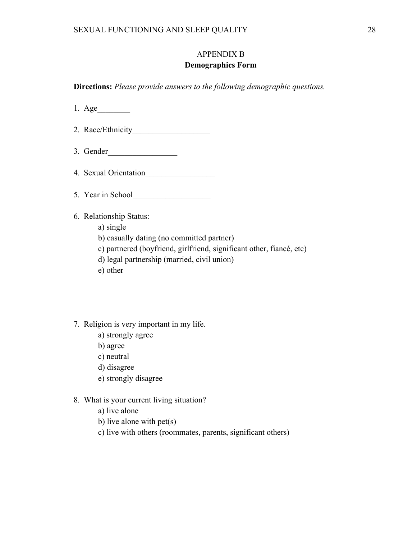# APPENDIX B

## **Demographics Form**

**Directions:** *Please provide answers to the following demographic questions.*

- 1. Age\_\_\_\_\_\_\_\_
- 2. Race/Ethnicity\_\_\_\_\_\_\_\_\_\_\_\_\_\_\_\_\_\_\_
- 3. Gender\_\_\_\_\_\_\_\_\_\_\_\_\_\_\_\_\_
- 4. Sexual Orientation\_\_\_\_\_\_\_\_\_\_\_\_\_\_\_\_\_
- 5. Year in School
- 6. Relationship Status:
	- a) single
	- b) casually dating (no committed partner)
	- c) partnered (boyfriend, girlfriend, significant other, fiancé, etc)
	- d) legal partnership (married, civil union)
	- e) other
- 7. Religion is very important in my life.
	- a) strongly agree
	- b) agree
	- c) neutral
	- d) disagree
	- e) strongly disagree

## 8. What is your current living situation?

- a) live alone
- b) live alone with pet(s)
- c) live with others (roommates, parents, significant others)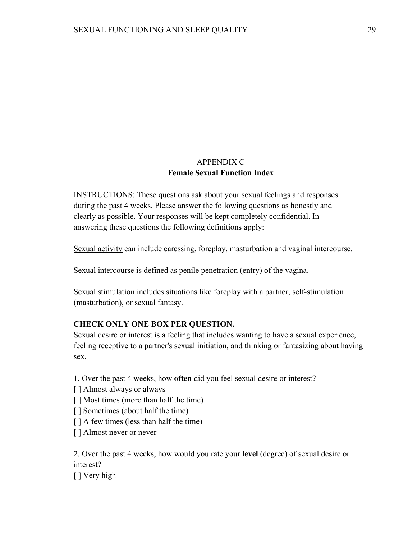# APPENDIX C **Female Sexual Function Index**

INSTRUCTIONS: These questions ask about your sexual feelings and responses during the past 4 weeks. Please answer the following questions as honestly and clearly as possible. Your responses will be kept completely confidential. In answering these questions the following definitions apply:

Sexual activity can include caressing, foreplay, masturbation and vaginal intercourse.

Sexual intercourse is defined as penile penetration (entry) of the vagina.

Sexual stimulation includes situations like foreplay with a partner, self-stimulation (masturbation), or sexual fantasy.

# **CHECK ONLY ONE BOX PER QUESTION.**

Sexual desire or interest is a feeling that includes wanting to have a sexual experience, feeling receptive to a partner's sexual initiation, and thinking or fantasizing about having sex.

- 1. Over the past 4 weeks, how **often** did you feel sexual desire or interest?
- [] Almost always or always
- [ ] Most times (more than half the time)
- [ ] Sometimes (about half the time)
- [ ] A few times (less than half the time)
- [ ] Almost never or never

2. Over the past 4 weeks, how would you rate your **level** (degree) of sexual desire or interest?

[ ] Very high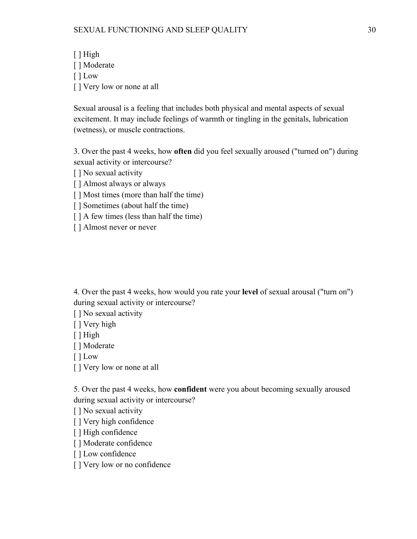[ ] High [ ] Moderate [ ] Low [ ] Very low or none at all

Sexual arousal is a feeling that includes both physical and mental aspects of sexual excitement. It may include feelings of warmth or tingling in the genitals, lubrication (wetness), or muscle contractions.

3. Over the past 4 weeks, how **often** did you feel sexually aroused ("turned on") during sexual activity or intercourse?

[ ] No sexual activity

[ ] Almost always or always

[ ] Most times (more than half the time)

[ ] Sometimes (about half the time)

[ ] A few times (less than half the time)

[ ] Almost never or never

4. Over the past 4 weeks, how would you rate your **level** of sexual arousal ("turn on") during sexual activity or intercourse?

[ ] No sexual activity

[ ] Very high

[ ] High

[ ] Moderate

[ ] Low

[ ] Very low or none at all

5. Over the past 4 weeks, how **confident** were you about becoming sexually aroused during sexual activity or intercourse?

[ ] No sexual activity

[ ] Very high confidence

[ ] High confidence

[ ] Moderate confidence

[ ] Low confidence

[ ] Very low or no confidence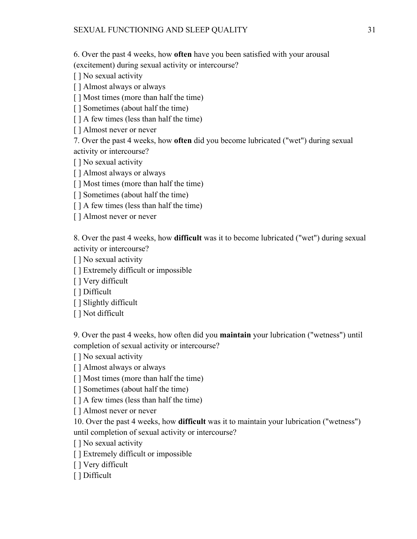6. Over the past 4 weeks, how **often** have you been satisfied with your arousal

(excitement) during sexual activity or intercourse?

[ ] No sexual activity

[ ] Almost always or always

[] Most times (more than half the time)

[ ] Sometimes (about half the time)

[ ] A few times (less than half the time)

[ ] Almost never or never

7. Over the past 4 weeks, how **often** did you become lubricated ("wet") during sexual activity or intercourse?

[ ] No sexual activity

[ ] Almost always or always

[ ] Most times (more than half the time)

[ ] Sometimes (about half the time)

[ ] A few times (less than half the time)

[ ] Almost never or never

8. Over the past 4 weeks, how **difficult** was it to become lubricated ("wet") during sexual activity or intercourse?

[ ] No sexual activity

[] Extremely difficult or impossible

[ ] Very difficult

[ ] Difficult

[ ] Slightly difficult

[ ] Not difficult

9. Over the past 4 weeks, how often did you **maintain** your lubrication ("wetness") until completion of sexual activity or intercourse?

[ ] No sexual activity

[ ] Almost always or always

[ ] Most times (more than half the time)

[ ] Sometimes (about half the time)

[ ] A few times (less than half the time)

[ ] Almost never or never

10. Over the past 4 weeks, how **difficult** was it to maintain your lubrication ("wetness") until completion of sexual activity or intercourse?

[ ] No sexual activity

[] Extremely difficult or impossible

[ ] Very difficult

[ ] Difficult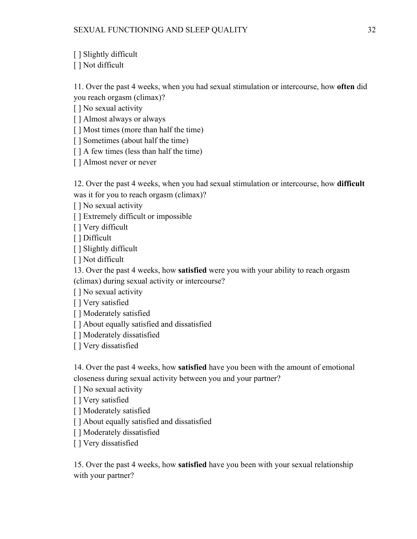[ ] Slightly difficult

[ ] Not difficult

11. Over the past 4 weeks, when you had sexual stimulation or intercourse, how **often** did you reach orgasm (climax)?

[ ] No sexual activity

[ ] Almost always or always

[ ] Most times (more than half the time)

[ ] Sometimes (about half the time)

[ ] A few times (less than half the time)

[ ] Almost never or never

12. Over the past 4 weeks, when you had sexual stimulation or intercourse, how **difficult** was it for you to reach orgasm (climax)?

[ ] No sexual activity

[] Extremely difficult or impossible

[ ] Very difficult

[ ] Difficult

[ ] Slightly difficult

[ ] Not difficult

13. Over the past 4 weeks, how **satisfied** were you with your ability to reach orgasm (climax) during sexual activity or intercourse?

[ ] No sexual activity

[ ] Very satisfied

[ ] Moderately satisfied

[] About equally satisfied and dissatisfied

[ ] Moderately dissatisfied

[ ] Very dissatisfied

14. Over the past 4 weeks, how **satisfied** have you been with the amount of emotional closeness during sexual activity between you and your partner?

[ ] No sexual activity

[ ] Very satisfied

[ ] Moderately satisfied

[] About equally satisfied and dissatisfied

[ ] Moderately dissatisfied

[ ] Very dissatisfied

15. Over the past 4 weeks, how **satisfied** have you been with your sexual relationship with your partner?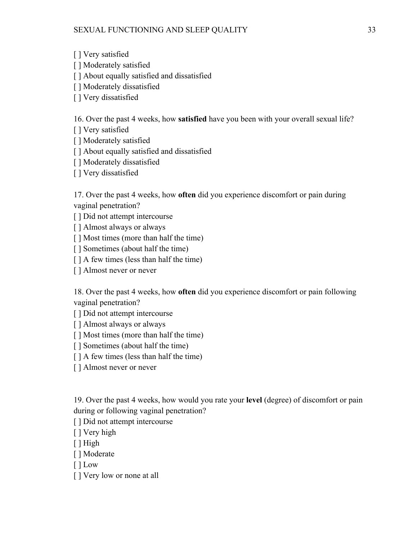[ ] Very satisfied

[ ] Moderately satisfied

[] About equally satisfied and dissatisfied

[] Moderately dissatisfied

[ ] Very dissatisfied

16. Over the past 4 weeks, how **satisfied** have you been with your overall sexual life?

[ ] Very satisfied

[ ] Moderately satisfied

[] About equally satisfied and dissatisfied

[ ] Moderately dissatisfied

[ ] Very dissatisfied

17. Over the past 4 weeks, how **often** did you experience discomfort or pain during vaginal penetration?

[ ] Did not attempt intercourse

[ ] Almost always or always

[ ] Most times (more than half the time)

[ ] Sometimes (about half the time)

[ ] A few times (less than half the time)

[ ] Almost never or never

18. Over the past 4 weeks, how **often** did you experience discomfort or pain following vaginal penetration?

[ ] Did not attempt intercourse

[ ] Almost always or always

[ ] Most times (more than half the time)

[ ] Sometimes (about half the time)

[ ] A few times (less than half the time)

[ ] Almost never or never

19. Over the past 4 weeks, how would you rate your **level** (degree) of discomfort or pain during or following vaginal penetration?

[ ] Did not attempt intercourse

[ ] Very high

[ ] High

[ ] Moderate

[ ] Low

[ ] Very low or none at all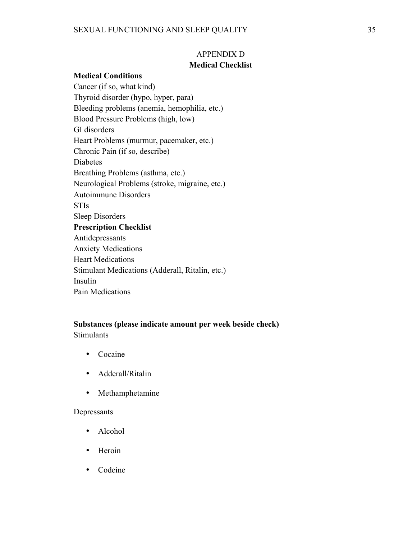# APPENDIX D **Medical Checklist**

## **Medical Conditions**

Cancer (if so, what kind) Thyroid disorder (hypo, hyper, para) Bleeding problems (anemia, hemophilia, etc.) Blood Pressure Problems (high, low) GI disorders Heart Problems (murmur, pacemaker, etc.) Chronic Pain (if so, describe) Diabetes Breathing Problems (asthma, etc.) Neurological Problems (stroke, migraine, etc.) Autoimmune Disorders STIs Sleep Disorders **Prescription Checklist** Antidepressants Anxiety Medications Heart Medications Stimulant Medications (Adderall, Ritalin, etc.) Insulin Pain Medications

## **Substances (please indicate amount per week beside check)** Stimulants

- Cocaine
- Adderall/Ritalin
- Methamphetamine

## Depressants

- Alcohol
- Heroin
- Codeine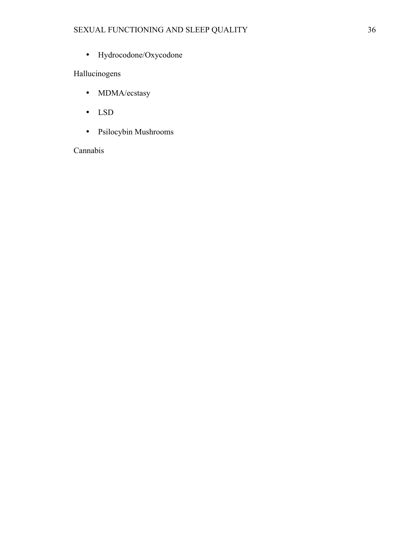• Hydrocodone/Oxycodone

# Hallucinogens

- MDMA/ecstasy
- LSD
- Psilocybin Mushrooms

# Cannabis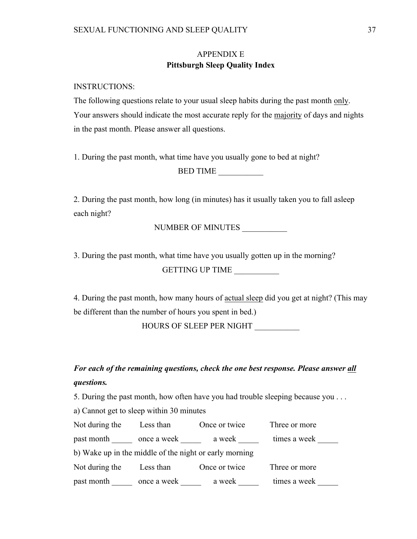# APPENDIX E **Pittsburgh Sleep Quality Index**

INSTRUCTIONS:

The following questions relate to your usual sleep habits during the past month only. Your answers should indicate the most accurate reply for the majority of days and nights in the past month. Please answer all questions.

1. During the past month, what time have you usually gone to bed at night?

BED TIME \_\_\_\_\_\_\_\_\_\_\_

2. During the past month, how long (in minutes) has it usually taken you to fall asleep each night?

NUMBER OF MINUTES \_\_\_\_\_\_\_\_\_\_\_

3. During the past month, what time have you usually gotten up in the morning?

GETTING UP TIME

4. During the past month, how many hours of actual sleep did you get at night? (This may be different than the number of hours you spent in bed.)

HOURS OF SLEEP PER NIGHT

*For each of the remaining questions, check the one best response. Please answer all questions.* 

5. During the past month, how often have you had trouble sleeping because you . . .

a) Cannot get to sleep within 30 minutes

| Not during the                                         | Less than   | Once or twice | Three or more |
|--------------------------------------------------------|-------------|---------------|---------------|
| past month                                             | once a week | a week        | times a week  |
| b) Wake up in the middle of the night or early morning |             |               |               |
| Not during the                                         | Less than   | Once or twice | Three or more |
| past month                                             | once a week | a week        | times a week  |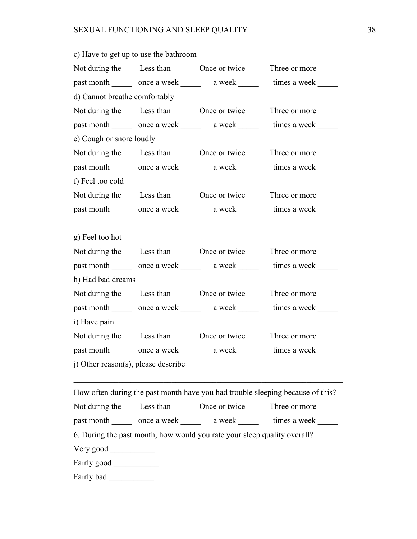|                                     |  | Not during the Less than Once or twice Three or more |                                                                          |  |
|-------------------------------------|--|------------------------------------------------------|--------------------------------------------------------------------------|--|
|                                     |  |                                                      | past month _______ once a week _______ a week ______ times a week ______ |  |
| d) Cannot breathe comfortably       |  |                                                      |                                                                          |  |
|                                     |  | Not during the Less than Once or twice Three or more |                                                                          |  |
|                                     |  |                                                      | past month _______ once a week ______ a week ______ times a week ______  |  |
| e) Cough or snore loudly            |  |                                                      |                                                                          |  |
|                                     |  | Not during the Less than Once or twice Three or more |                                                                          |  |
|                                     |  |                                                      | past month _______ once a week ______ a week ______ times a week ______  |  |
| f) Feel too cold                    |  |                                                      |                                                                          |  |
|                                     |  | Not during the Less than Once or twice Three or more |                                                                          |  |
|                                     |  |                                                      | past month _______ once a week ______ a week ______ times a week ______  |  |
|                                     |  |                                                      |                                                                          |  |
| g) Feel too hot                     |  |                                                      |                                                                          |  |
|                                     |  | Not during the Less than Once or twice Three or more |                                                                          |  |
|                                     |  |                                                      | past month _______ once a week ______ a week ______ times a week ______  |  |
| h) Had bad dreams                   |  |                                                      |                                                                          |  |
|                                     |  | Not during the Less than Once or twice Three or more |                                                                          |  |
|                                     |  |                                                      | past month _______ once a week ______ a week ______ times a week ______  |  |
| i) Have pain                        |  |                                                      |                                                                          |  |
|                                     |  | Not during the Less than Once or twice Three or more |                                                                          |  |
|                                     |  |                                                      | past month ______ once a week ______ a week ______ times a week ______   |  |
| j) Other reason(s), please describe |  |                                                      |                                                                          |  |

c) Have to get up to use the bathroom

How often during the past month have you had trouble sleeping because of this? Not during the Less than Once or twice Three or more past month once a week a week times a week here a week here a week a seek and the same a week and the same a week  $\sim$ 6. During the past month, how would you rate your sleep quality overall? Very good \_\_\_\_\_\_\_\_\_\_\_ Fairly good \_\_\_\_\_\_\_\_\_\_\_ Fairly bad \_\_\_\_\_\_\_\_\_\_\_

 $\mathcal{L}_\text{max} = \mathcal{L}_\text{max} = \mathcal{L}_\text{max} = \mathcal{L}_\text{max} = \mathcal{L}_\text{max} = \mathcal{L}_\text{max} = \mathcal{L}_\text{max} = \mathcal{L}_\text{max} = \mathcal{L}_\text{max} = \mathcal{L}_\text{max} = \mathcal{L}_\text{max} = \mathcal{L}_\text{max} = \mathcal{L}_\text{max} = \mathcal{L}_\text{max} = \mathcal{L}_\text{max} = \mathcal{L}_\text{max} = \mathcal{L}_\text{max} = \mathcal{L}_\text{max} = \mathcal{$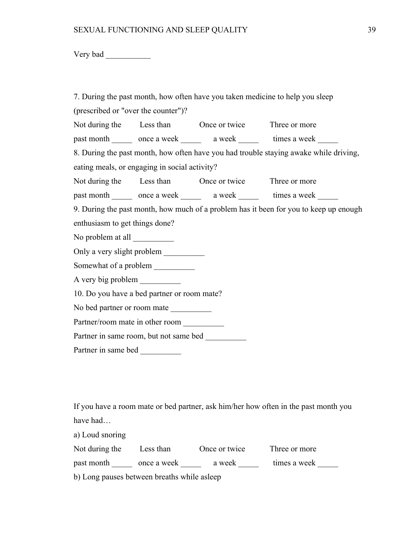Very bad \_\_\_\_\_\_\_\_\_\_\_

|                                               |  |                                                      | 7. During the past month, how often have you taken medicine to help you sleep         |  |
|-----------------------------------------------|--|------------------------------------------------------|---------------------------------------------------------------------------------------|--|
| (prescribed or "over the counter")?           |  |                                                      |                                                                                       |  |
|                                               |  | Not during the Less than Once or twice Three or more |                                                                                       |  |
|                                               |  |                                                      | past month ______ once a week ______ a week ______ times a week _____                 |  |
|                                               |  |                                                      | 8. During the past month, how often have you had trouble staying awake while driving, |  |
| eating meals, or engaging in social activity? |  |                                                      |                                                                                       |  |
|                                               |  | Not during the Less than Once or twice Three or more |                                                                                       |  |
|                                               |  |                                                      | past month _______ once a week ______ a week ______ times a week ______               |  |
|                                               |  |                                                      | 9. During the past month, how much of a problem has it been for you to keep up enough |  |
| enthusiasm to get things done?                |  |                                                      |                                                                                       |  |
|                                               |  |                                                      |                                                                                       |  |
| Only a very slight problem                    |  |                                                      |                                                                                       |  |
|                                               |  |                                                      |                                                                                       |  |
| A very big problem                            |  |                                                      |                                                                                       |  |
| 10. Do you have a bed partner or room mate?   |  |                                                      |                                                                                       |  |
|                                               |  |                                                      |                                                                                       |  |
| Partner/room mate in other room               |  |                                                      |                                                                                       |  |
|                                               |  |                                                      |                                                                                       |  |
|                                               |  |                                                      |                                                                                       |  |
|                                               |  |                                                      |                                                                                       |  |
|                                               |  |                                                      |                                                                                       |  |

If you have a room mate or bed partner, ask him/her how often in the past month you have had…

a) Loud snoring Not during the  $L$ 

| Not during the | Less than   | Once or twice | Three or more |  |
|----------------|-------------|---------------|---------------|--|
| past month     | once a week | a week        | times a week  |  |

b) Long pauses between breaths while asleep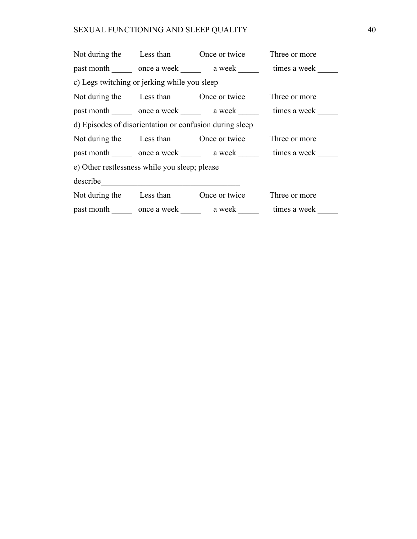# SEXUAL FUNCTIONING AND SLEEP QUALITY 40

|                                                                                                                                                                                                                                      |  | Not during the Less than Once or twice     | Three or more |  |
|--------------------------------------------------------------------------------------------------------------------------------------------------------------------------------------------------------------------------------------|--|--------------------------------------------|---------------|--|
|                                                                                                                                                                                                                                      |  | past month once a week a week times a week |               |  |
| c) Legs twitching or jerking while you sleep                                                                                                                                                                                         |  |                                            |               |  |
|                                                                                                                                                                                                                                      |  | Not during the Less than Once or twice     | Three or more |  |
|                                                                                                                                                                                                                                      |  | past month once a week a week times a week |               |  |
| d) Episodes of disorientation or confusion during sleep                                                                                                                                                                              |  |                                            |               |  |
|                                                                                                                                                                                                                                      |  | Not during the Less than Once or twice     | Three or more |  |
|                                                                                                                                                                                                                                      |  | past month once a week a week times a week |               |  |
| e) Other restlessness while you sleep; please                                                                                                                                                                                        |  |                                            |               |  |
| describe <u>contract and the contract of the contract of the contract of the contract of the contract of the contract of the contract of the contract of the contract of the contract of the contract of the contract of the con</u> |  |                                            |               |  |
|                                                                                                                                                                                                                                      |  | Not during the Less than Once or twice     | Three or more |  |
|                                                                                                                                                                                                                                      |  | past month once a week a week              | times a week  |  |